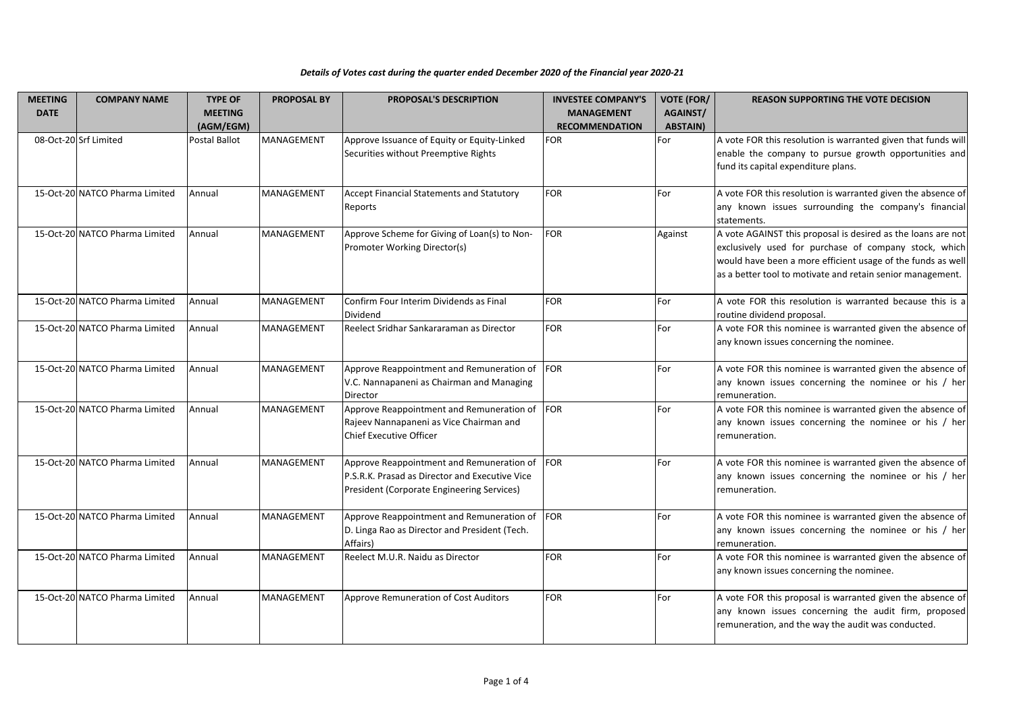| Details of Votes cast during the quarter ended December 2020 of the Financial year 2020-21 |  |
|--------------------------------------------------------------------------------------------|--|
|--------------------------------------------------------------------------------------------|--|

| <b>MEETING</b> | <b>COMPANY NAME</b>            | <b>TYPE OF</b> | <b>PROPOSAL BY</b> | <b>PROPOSAL'S DESCRIPTION</b>                                                                                                             | <b>INVESTEE COMPANY'S</b> | <b>VOTE (FOR/</b> | <b>REASON SUPPORTING THE VOTE DECISION</b>                                                                                                                                                                                                         |
|----------------|--------------------------------|----------------|--------------------|-------------------------------------------------------------------------------------------------------------------------------------------|---------------------------|-------------------|----------------------------------------------------------------------------------------------------------------------------------------------------------------------------------------------------------------------------------------------------|
| <b>DATE</b>    |                                | <b>MEETING</b> |                    |                                                                                                                                           | <b>MANAGEMENT</b>         | AGAINST/          |                                                                                                                                                                                                                                                    |
|                |                                | (AGM/EGM)      |                    |                                                                                                                                           | <b>RECOMMENDATION</b>     | <b>ABSTAIN)</b>   |                                                                                                                                                                                                                                                    |
|                | 08-Oct-20 Srf Limited          | Postal Ballot  | <b>MANAGEMENT</b>  | Approve Issuance of Equity or Equity-Linked<br>Securities without Preemptive Rights                                                       | <b>FOR</b>                | For               | A vote FOR this resolution is warranted given that funds will<br>enable the company to pursue growth opportunities and<br>fund its capital expenditure plans.                                                                                      |
|                | 15-Oct-20 NATCO Pharma Limited | Annual         | MANAGEMENT         | Accept Financial Statements and Statutory<br>Reports                                                                                      | <b>FOR</b>                | For               | A vote FOR this resolution is warranted given the absence of<br>any known issues surrounding the company's financial<br>statements.                                                                                                                |
|                | 15-Oct-20 NATCO Pharma Limited | Annual         | MANAGEMENT         | Approve Scheme for Giving of Loan(s) to Non-<br>Promoter Working Director(s)                                                              | <b>FOR</b>                | Against           | A vote AGAINST this proposal is desired as the loans are not<br>exclusively used for purchase of company stock, which<br>would have been a more efficient usage of the funds as well<br>as a better tool to motivate and retain senior management. |
|                | 15-Oct-20 NATCO Pharma Limited | Annual         | MANAGEMENT         | Confirm Four Interim Dividends as Final<br>Dividend                                                                                       | <b>FOR</b>                | For               | A vote FOR this resolution is warranted because this is a<br>routine dividend proposal.                                                                                                                                                            |
|                | 15-Oct-20 NATCO Pharma Limited | Annual         | MANAGEMENT         | Reelect Sridhar Sankararaman as Director                                                                                                  | <b>FOR</b>                | For               | A vote FOR this nominee is warranted given the absence of<br>any known issues concerning the nominee.                                                                                                                                              |
|                | 15-Oct-20 NATCO Pharma Limited | Annual         | MANAGEMENT         | Approve Reappointment and Remuneration of<br>V.C. Nannapaneni as Chairman and Managing<br>Director                                        | FOR                       | For               | A vote FOR this nominee is warranted given the absence of<br>any known issues concerning the nominee or his / her<br>remuneration.                                                                                                                 |
|                | 15-Oct-20 NATCO Pharma Limited | Annual         | MANAGEMENT         | Approve Reappointment and Remuneration of<br>Rajeev Nannapaneni as Vice Chairman and<br><b>Chief Executive Officer</b>                    | <b>FOR</b>                | For               | A vote FOR this nominee is warranted given the absence of<br>any known issues concerning the nominee or his / her<br>remuneration.                                                                                                                 |
|                | 15-Oct-20 NATCO Pharma Limited | Annual         | MANAGEMENT         | Approve Reappointment and Remuneration of<br>P.S.R.K. Prasad as Director and Executive Vice<br>President (Corporate Engineering Services) | <b>FOR</b>                | For               | A vote FOR this nominee is warranted given the absence of<br>any known issues concerning the nominee or his / her<br>remuneration.                                                                                                                 |
|                | 15-Oct-20 NATCO Pharma Limited | Annual         | MANAGEMENT         | Approve Reappointment and Remuneration of<br>D. Linga Rao as Director and President (Tech.<br>Affairs)                                    | FOR                       | For               | A vote FOR this nominee is warranted given the absence of<br>any known issues concerning the nominee or his / her<br>remuneration.                                                                                                                 |
|                | 15-Oct-20 NATCO Pharma Limited | Annual         | MANAGEMENT         | Reelect M.U.R. Naidu as Director                                                                                                          | <b>FOR</b>                | For               | A vote FOR this nominee is warranted given the absence of<br>any known issues concerning the nominee.                                                                                                                                              |
|                | 15-Oct-20 NATCO Pharma Limited | Annual         | <b>MANAGEMENT</b>  | Approve Remuneration of Cost Auditors                                                                                                     | <b>FOR</b>                | For               | A vote FOR this proposal is warranted given the absence of<br>any known issues concerning the audit firm, proposed<br>remuneration, and the way the audit was conducted.                                                                           |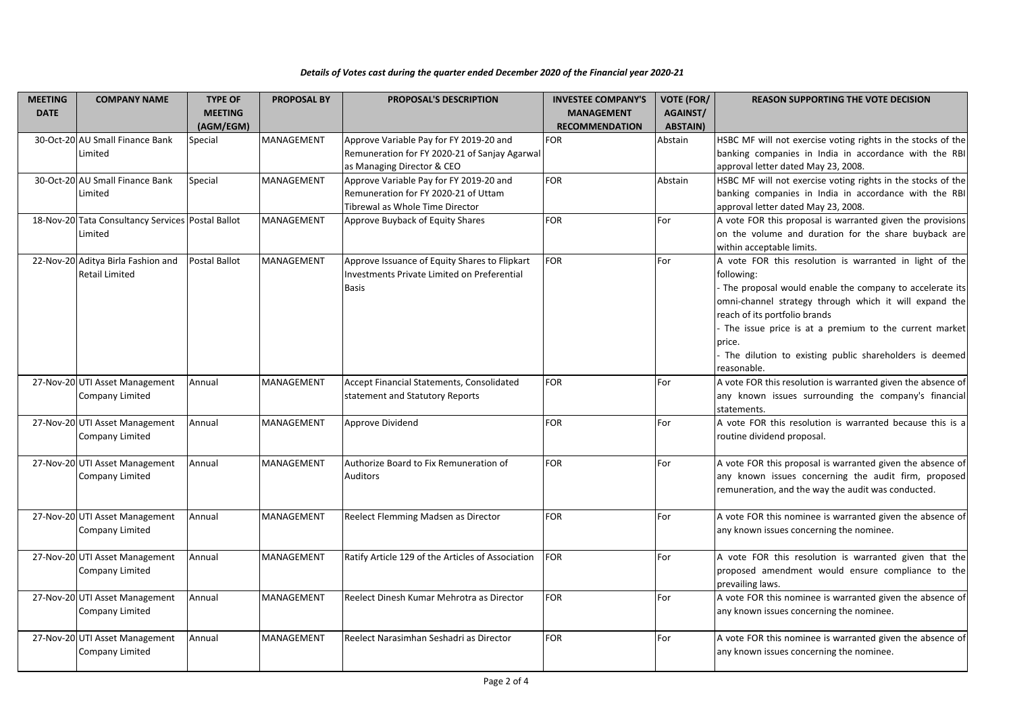| <b>MEETING</b><br><b>DATE</b> | <b>COMPANY NAME</b>                                          | <b>TYPE OF</b><br><b>MEETING</b><br>(AGM/EGM) | <b>PROPOSAL BY</b> | <b>PROPOSAL'S DESCRIPTION</b>                                                                                          | <b>INVESTEE COMPANY'S</b><br><b>MANAGEMENT</b><br><b>RECOMMENDATION</b> | <b>VOTE (FOR/</b><br><b>AGAINST/</b><br><b>ABSTAIN)</b> | <b>REASON SUPPORTING THE VOTE DECISION</b>                                                                                                                                                                                                                                                                                                                                |
|-------------------------------|--------------------------------------------------------------|-----------------------------------------------|--------------------|------------------------------------------------------------------------------------------------------------------------|-------------------------------------------------------------------------|---------------------------------------------------------|---------------------------------------------------------------------------------------------------------------------------------------------------------------------------------------------------------------------------------------------------------------------------------------------------------------------------------------------------------------------------|
|                               | 30-Oct-20 AU Small Finance Bank<br>Limited                   | Special                                       | MANAGEMENT         | Approve Variable Pay for FY 2019-20 and<br>Remuneration for FY 2020-21 of Sanjay Agarwal<br>as Managing Director & CEO | <b>FOR</b>                                                              | Abstain                                                 | HSBC MF will not exercise voting rights in the stocks of the<br>banking companies in India in accordance with the RBI<br>approval letter dated May 23, 2008.                                                                                                                                                                                                              |
|                               | 30-Oct-20 AU Small Finance Bank<br>Limited                   | Special                                       | MANAGEMENT         | Approve Variable Pay for FY 2019-20 and<br>Remuneration for FY 2020-21 of Uttam<br>Tibrewal as Whole Time Director     | <b>FOR</b>                                                              | Abstain                                                 | HSBC MF will not exercise voting rights in the stocks of the<br>banking companies in India in accordance with the RBI<br>approval letter dated May 23, 2008.                                                                                                                                                                                                              |
|                               | 18-Nov-20 Tata Consultancy Services Postal Ballot<br>Limited |                                               | MANAGEMENT         | Approve Buyback of Equity Shares                                                                                       | <b>FOR</b>                                                              | For                                                     | A vote FOR this proposal is warranted given the provisions<br>on the volume and duration for the share buyback are<br>within acceptable limits.                                                                                                                                                                                                                           |
|                               | 22-Nov-20 Aditya Birla Fashion and<br><b>Retail Limited</b>  | Postal Ballot                                 | <b>MANAGEMENT</b>  | Approve Issuance of Equity Shares to Flipkart<br>Investments Private Limited on Preferential<br><b>Basis</b>           | <b>FOR</b>                                                              | For                                                     | A vote FOR this resolution is warranted in light of the<br>following:<br>- The proposal would enable the company to accelerate its<br>omni-channel strategy through which it will expand the<br>reach of its portfolio brands<br>The issue price is at a premium to the current market<br>price.<br>The dilution to existing public shareholders is deemed<br>reasonable. |
|                               | 27-Nov-20 UTI Asset Management<br>Company Limited            | Annual                                        | MANAGEMENT         | Accept Financial Statements, Consolidated<br>statement and Statutory Reports                                           | <b>FOR</b>                                                              | For                                                     | A vote FOR this resolution is warranted given the absence of<br>any known issues surrounding the company's financial<br>statements.                                                                                                                                                                                                                                       |
|                               | 27-Nov-20 UTI Asset Management<br>Company Limited            | Annual                                        | MANAGEMENT         | Approve Dividend                                                                                                       | <b>FOR</b>                                                              | For                                                     | A vote FOR this resolution is warranted because this is a<br>routine dividend proposal.                                                                                                                                                                                                                                                                                   |
|                               | 27-Nov-20 UTI Asset Management<br>Company Limited            | Annual                                        | MANAGEMENT         | Authorize Board to Fix Remuneration of<br><b>Auditors</b>                                                              | <b>FOR</b>                                                              | For                                                     | A vote FOR this proposal is warranted given the absence of<br>any known issues concerning the audit firm, proposed<br>remuneration, and the way the audit was conducted.                                                                                                                                                                                                  |
|                               | 27-Nov-20 UTI Asset Management<br>Company Limited            | Annual                                        | MANAGEMENT         | Reelect Flemming Madsen as Director                                                                                    | <b>FOR</b>                                                              | For                                                     | A vote FOR this nominee is warranted given the absence of<br>any known issues concerning the nominee.                                                                                                                                                                                                                                                                     |
|                               | 27-Nov-20 UTI Asset Management<br>Company Limited            | Annual                                        | MANAGEMENT         | Ratify Article 129 of the Articles of Association                                                                      | <b>FOR</b>                                                              | For                                                     | A vote FOR this resolution is warranted given that the<br>proposed amendment would ensure compliance to the<br>prevailing laws.                                                                                                                                                                                                                                           |
|                               | 27-Nov-20 UTI Asset Management<br>Company Limited            | Annual                                        | MANAGEMENT         | Reelect Dinesh Kumar Mehrotra as Director                                                                              | <b>FOR</b>                                                              | For                                                     | A vote FOR this nominee is warranted given the absence of<br>any known issues concerning the nominee.                                                                                                                                                                                                                                                                     |
|                               | 27-Nov-20 UTI Asset Management<br>Company Limited            | Annual                                        | <b>MANAGEMENT</b>  | Reelect Narasimhan Seshadri as Director                                                                                | <b>FOR</b>                                                              | For                                                     | A vote FOR this nominee is warranted given the absence of<br>any known issues concerning the nominee.                                                                                                                                                                                                                                                                     |

## *Details of Votes cast during the quarter ended December 2020 of the Financial year 2020-21*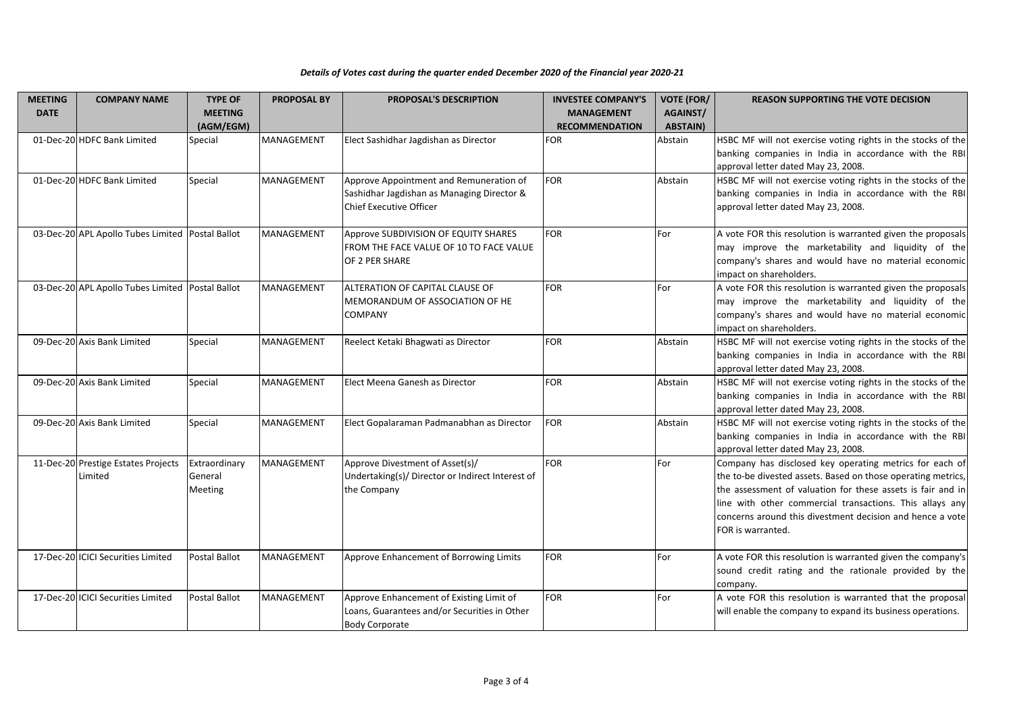## *Details of Votes cast during the quarter ended December 2020 of the Financial year 2020-21*

| <b>MEETING</b> | <b>COMPANY NAME</b>                                | <b>TYPE OF</b>                      | <b>PROPOSAL BY</b> | <b>PROPOSAL'S DESCRIPTION</b>                                                                                           | <b>INVESTEE COMPANY'S</b> | <b>VOTE (FOR/</b> | <b>REASON SUPPORTING THE VOTE DECISION</b>                                                                                                                                                                                                                                                                                           |
|----------------|----------------------------------------------------|-------------------------------------|--------------------|-------------------------------------------------------------------------------------------------------------------------|---------------------------|-------------------|--------------------------------------------------------------------------------------------------------------------------------------------------------------------------------------------------------------------------------------------------------------------------------------------------------------------------------------|
| <b>DATE</b>    |                                                    | <b>MEETING</b>                      |                    |                                                                                                                         | <b>MANAGEMENT</b>         | <b>AGAINST/</b>   |                                                                                                                                                                                                                                                                                                                                      |
|                |                                                    | (AGM/EGM)                           |                    |                                                                                                                         | <b>RECOMMENDATION</b>     | <b>ABSTAIN)</b>   |                                                                                                                                                                                                                                                                                                                                      |
|                | 01-Dec-20 HDFC Bank Limited                        | Special                             | <b>MANAGEMENT</b>  | Elect Sashidhar Jagdishan as Director                                                                                   | <b>FOR</b>                | Abstain           | HSBC MF will not exercise voting rights in the stocks of the<br>banking companies in India in accordance with the RBI<br>approval letter dated May 23, 2008.                                                                                                                                                                         |
|                | 01-Dec-20 HDFC Bank Limited                        | Special                             | MANAGEMENT         | Approve Appointment and Remuneration of<br>Sashidhar Jagdishan as Managing Director &<br><b>Chief Executive Officer</b> | <b>FOR</b>                | Abstain           | HSBC MF will not exercise voting rights in the stocks of the<br>banking companies in India in accordance with the RBI<br>approval letter dated May 23, 2008.                                                                                                                                                                         |
|                | 03-Dec-20 APL Apollo Tubes Limited Postal Ballot   |                                     | MANAGEMENT         | Approve SUBDIVISION OF EQUITY SHARES<br>FROM THE FACE VALUE OF 10 TO FACE VALUE<br>OF 2 PER SHARE                       | <b>FOR</b>                | For               | A vote FOR this resolution is warranted given the proposals<br>may improve the marketability and liquidity of the<br>company's shares and would have no material economic<br>impact on shareholders.                                                                                                                                 |
|                | 03-Dec-20 APL Apollo Tubes Limited   Postal Ballot |                                     | MANAGEMENT         | ALTERATION OF CAPITAL CLAUSE OF<br>MEMORANDUM OF ASSOCIATION OF HE<br><b>COMPANY</b>                                    | <b>FOR</b>                | For               | A vote FOR this resolution is warranted given the proposals<br>may improve the marketability and liquidity of the<br>company's shares and would have no material economic<br>impact on shareholders.                                                                                                                                 |
|                | 09-Dec-20 Axis Bank Limited                        | Special                             | MANAGEMENT         | Reelect Ketaki Bhagwati as Director                                                                                     | <b>FOR</b>                | Abstain           | HSBC MF will not exercise voting rights in the stocks of the<br>banking companies in India in accordance with the RBI<br>approval letter dated May 23, 2008.                                                                                                                                                                         |
|                | 09-Dec-20 Axis Bank Limited                        | Special                             | MANAGEMENT         | Elect Meena Ganesh as Director                                                                                          | <b>FOR</b>                | Abstain           | HSBC MF will not exercise voting rights in the stocks of the<br>banking companies in India in accordance with the RBI<br>approval letter dated May 23, 2008.                                                                                                                                                                         |
|                | 09-Dec-20 Axis Bank Limited                        | Special                             | MANAGEMENT         | Elect Gopalaraman Padmanabhan as Director                                                                               | <b>FOR</b>                | Abstain           | HSBC MF will not exercise voting rights in the stocks of the<br>banking companies in India in accordance with the RBI<br>approval letter dated May 23, 2008.                                                                                                                                                                         |
|                | 11-Dec-20 Prestige Estates Projects<br>Limited     | Extraordinary<br>General<br>Meeting | MANAGEMENT         | Approve Divestment of Asset(s)/<br>Undertaking(s)/ Director or Indirect Interest of<br>the Company                      | <b>FOR</b>                | For               | Company has disclosed key operating metrics for each of<br>the to-be divested assets. Based on those operating metrics,<br>the assessment of valuation for these assets is fair and in<br>line with other commercial transactions. This allays any<br>concerns around this divestment decision and hence a vote<br>FOR is warranted. |
|                | 17-Dec-20 ICICI Securities Limited                 | Postal Ballot                       | <b>MANAGEMENT</b>  | Approve Enhancement of Borrowing Limits                                                                                 | <b>FOR</b>                | For               | A vote FOR this resolution is warranted given the company's<br>sound credit rating and the rationale provided by the<br>company.                                                                                                                                                                                                     |
|                | 17-Dec-20 ICICI Securities Limited                 | Postal Ballot                       | <b>MANAGEMENT</b>  | Approve Enhancement of Existing Limit of<br>Loans, Guarantees and/or Securities in Other<br><b>Body Corporate</b>       | <b>FOR</b>                | For               | A vote FOR this resolution is warranted that the proposal<br>will enable the company to expand its business operations.                                                                                                                                                                                                              |